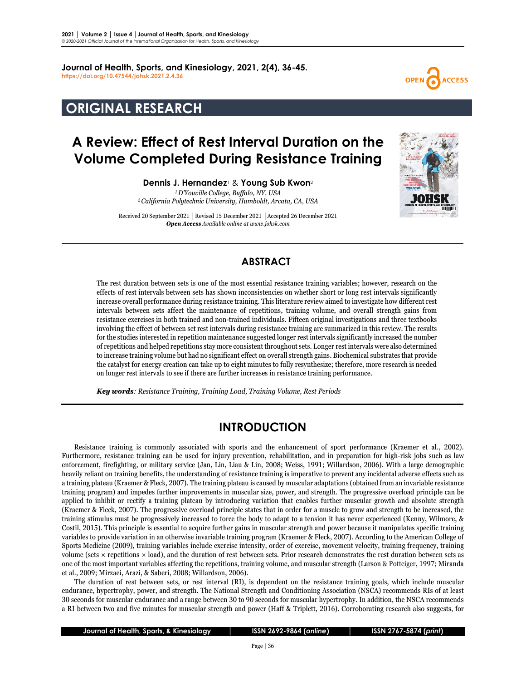**Journal of Health, Sports, and Kinesiology, 2021, 2(4), 36-45. <https://doi.org/10.47544/johsk.2021.2.4.36>**

# **ORIGINAL RESEARCH**

# **A Review: Effect of Rest Interval Duration on the Volume Completed During Resistance Training**

**Dennis J. Hernandez**<sup>1</sup> & **Young Sub Kwon**<sup>2</sup> *1D'Youville College, Buffalo, NY, USA 2California Polytechnic University, Humboldt, Arcata, CA, USA*

Received 20 September 2021 **│**Revised 15 December 2021 **│**Accepted 26 December 2021 *Open Access Available online at www.johsk.com*



**ACCESS** 

## **ABSTRACT**

The rest duration between sets is one of the most essential resistance training variables; however, research on the effects of rest intervals between sets has shown inconsistencies on whether short or long rest intervals significantly increase overall performance during resistance training. This literature review aimed to investigate how different rest intervals between sets affect the maintenance of repetitions, training volume, and overall strength gains from resistance exercises in both trained and non-trained individuals. Fifteen original investigations and three textbooks involving the effect of between set rest intervals during resistance training are summarized in this review. The results for the studies interested in repetition maintenance suggested longer rest intervals significantly increased the number of repetitions and helped repetitions stay more consistent throughout sets. Longer rest intervals were also determined to increase training volume but had no significant effect on overall strength gains. Biochemical substrates that provide the catalyst for energy creation can take up to eight minutes to fully resynthesize; therefore, more research is needed on longer rest intervals to see if there are further increases in resistance training performance.

 *Key words: Resistance Training, Training Load, Training Volume, Rest Periods*

## **INTRODUCTION**

Resistance training is commonly associated with sports and the enhancement of sport performance (Kraemer et al., 2002). Furthermore, resistance training can be used for injury prevention, rehabilitation, and in preparation for high-risk jobs such as law enforcement, firefighting, or military service (Jan, Lin, Liau & Lin, 2008; Weiss, 1991; Willardson, 2006). With a large demographic heavily reliant on training benefits, the understanding of resistance training is imperative to prevent any incidental adverse effects such as a training plateau (Kraemer & Fleck, 2007). The training plateau is caused by muscular adaptations (obtained from an invariable resistance training program) and impedes further improvements in muscular size, power, and strength. The progressive overload principle can be applied to inhibit or rectify a training plateau by introducing variation that enables further muscular growth and absolute strength (Kraemer & Fleck, 2007). The progressive overload principle states that in order for a muscle to grow and strength to be increased, the training stimulus must be progressively increased to force the body to adapt to a tension it has never experienced (Kenny, Wilmore, & Costil, 2015). This principle is essential to acquire further gains in muscular strength and power because it manipulates specific training variables to provide variation in an otherwise invariable training program (Kraemer & Fleck, 2007). According to the American College of Sports Medicine (2009), training variables include exercise intensity, order of exercise, movement velocity, training frequency, training volume (sets × repetitions × load), and the duration of rest between sets. Prior research demonstrates the rest duration between sets as one of the most important variables affecting the repetitions, training volume, and muscular strength (Larson & Potteiger, 1997; Miranda et al., 2009; Mirzaei, Arazi, & Saberi, 2008; Willardson, 2006).

The duration of rest between sets, or rest interval (RI), is dependent on the resistance training goals, which include muscular endurance, hypertrophy, power, and strength. The National Strength and Conditioning Association (NSCA) recommends RIs of at least 30 seconds for muscular endurance and a range between 30 to 90 seconds for muscular hypertrophy. In addition, the NSCA recommends a RI between two and five minutes for muscular strength and power (Haff & Triplett, 2016). Corroborating research also suggests, for

 **Journal of Health, Sports, & Kinesiology │ ISSN 2692-9864 (***online***) │ ISSN 2767-5874 (***print***)**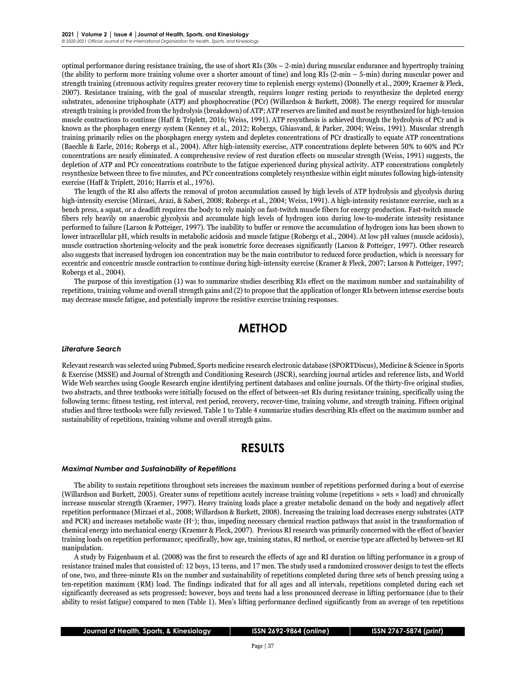optimal performance during resistance training, the use of short RIs  $(30s - 2-min)$  during muscular endurance and hypertrophy training (the ability to perform more training volume over a shorter amount of time) and long RIs (2-min – 5-min) during muscular power and strength training (strenuous activity requires greater recovery time to replenish energy systems) (Donnelly et al., 2009; Kraemer & Fleck, 2007). Resistance training, with the goal of muscular strength, requires longer resting periods to resynthesize the depleted energy substrates, adenosine triphosphate (ATP) and phosphocreatine (PCr) (Willardson & Burkett, 2008). The energy required for muscular strength training is provided from the hydrolysis (breakdown) of ATP; ATP reserves are limited and must be resynthesized for high-tension muscle contractions to continue (Haff & Triplett, 2016; Weiss, 1991). ATP resynthesis is achieved through the hydrolysis of PCr and is known as the phosphagen energy system (Kenney et al., 2012; Robergs, Ghiasvand, & Parker, 2004; Weiss, 1991). Muscular strength training primarily relies on the phosphagen energy system and depletes concentrations of PCr drastically to equate ATP concentrations (Baechle & Earle, 2016; Robergs et al., 2004). After high-intensity exercise, ATP concentrations deplete between 50% to 60% and PCr concentrations are nearly eliminated. A comprehensive review of rest duration effects on muscular strength (Weiss, 1991) suggests, the depletion of ATP and PCr concentrations contribute to the fatigue experienced during physical activity. ATP concentrations completely resynthesize between three to five minutes, and PCr concentrations completely resynthesize within eight minutes following high-intensity exercise (Haff & Triplett, 2016; Harris et al., 1976).

The length of the RI also affects the removal of proton accumulation caused by high levels of ATP hydrolysis and glycolysis during high-intensity exercise (Mirzaei, Arazi, & Saberi, 2008; Robergs et al., 2004; Weiss, 1991). A high-intensity resistance exercise, such as a bench press, a squat, or a deadlift requires the body to rely mainly on fast-twitch muscle fibers for energy production. Fast-twitch muscle fibers rely heavily on anaerobic glycolysis and accumulate high levels of hydrogen ions during low-to-moderate intensity resistance performed to failure (Larson & Potteiger, 1997). The inability to buffer or remove the accumulation of hydrogen ions has been shown to lower intracellular pH, which results in metabolic acidosis and muscle fatigue (Robergs et al., 2004). At low pH values (muscle acidosis), muscle contraction shortening-velocity and the peak isometric force decreases significantly (Larson & Potteiger, 1997). Other research also suggests that increased hydrogen ion concentration may be the main contributor to reduced force production, which is necessary for eccentric and concentric muscle contraction to continue during high-intensity exercise (Kramer & Fleck, 2007; Larson & Potteiger, 1997; Robergs et al., 2004).

The purpose of this investigation (1) was to summarize studies describing RIs effect on the maximum number and sustainability of repetitions, training volume and overall strength gains and (2) to propose that the application of longer RIs between intense exercise bouts may decrease muscle fatigue, and potentially improve the resistive exercise training responses.

## **METHOD**

#### *Literature Search*

Relevant research was selected using Pubmed, Sports medicine research electronic database (SPORTDiscus), Medicine & Science in Sports & Exercise (MSSE) and Journal of Strength and Conditioning Research (JSCR), searching journal articles and reference lists, and World Wide Web searches using Google Research engine identifying pertinent databases and online journals. Of the thirty-five original studies, two abstracts, and three textbooks were initially focused on the effect of between-set RIs during resistance training, specifically using the following terms: fitness testing, rest interval, rest period, recovery, recover-time, training volume, and strength training. Fifteen original studies and three textbooks were fully reviewed. Table 1 to Table 4 summarize studies describing RIs effect on the maximum number and sustainability of repetitions, training volume and overall strength gains.

### **RESULTS**

#### *Maximal Number and Sustainability of Repetitions*

The ability to sustain repetitions throughout sets increases the maximum number of repetitions performed during a bout of exercise (Willardson and Burkett, 2005). Greater sums of repetitions acutely increase training volume (repetitions × sets × load) and chronically increase muscular strength (Kraemer, 1997). Heavy training loads place a greater metabolic demand on the body and negatively affect repetition performance (Mirzaei et al., 2008; Willardson & Burkett, 2008). Increasing the training load decreases energy substrates (ATP and PCR) and increases metabolic waste (H+); thus, impeding necessary chemical reaction pathways that assist in the transformation of chemical energy into mechanical energy (Kraemer & Fleck, 2007). Previous RI research was primarily concerned with the effect of heavier training loads on repetition performance; specifically, how age, training status, RI method, or exercise type are affected by between-set RI manipulation.

A study by Faigenbaum et al. (2008) was the first to research the effects of age and RI duration on lifting performance in a group of resistance trained males that consisted of: 12 boys, 13 teens, and 17 men. The study used a randomized crossover design to test the effects of one, two, and three-minute RIs on the number and sustainability of repetitions completed during three sets of bench pressing using a ten-repetition maximum (RM) load. The findings indicated that for all ages and all intervals, repetitions completed during each set significantly decreased as sets progressed; however, boys and teens had a less pronounced decrease in lifting performance (due to their ability to resist fatigue) compared to men (Table 1). Men's lifting performance declined significantly from an average of ten repetitions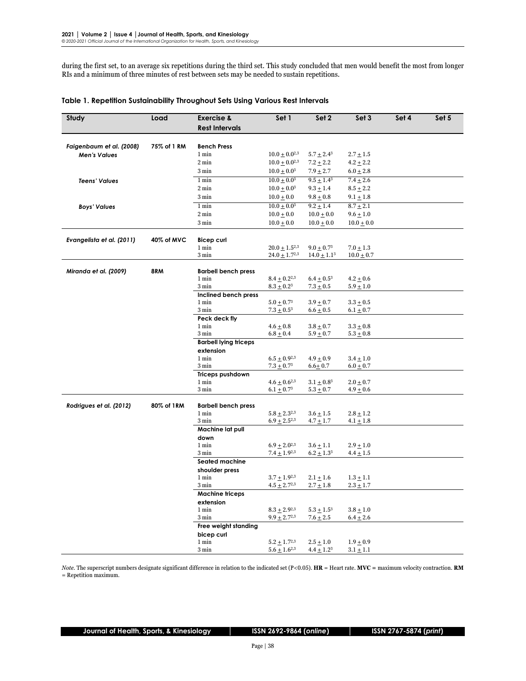during the first set, to an average six repetitions during the third set. This study concluded that men would benefit the most from longer RIs and a minimum of three minutes of rest between sets may be needed to sustain repetitions.

| <b>Rest Intervals</b><br>Faigenbaum et al. (2008)<br>75% of 1 RM<br><b>Bench Press</b><br>1 min<br>$10.0 \pm 0.0^{2,3}$<br>$5.7 \pm 2.4^3$<br>$2.7 \pm 1.5$<br><b>Men's Values</b><br>2 min<br>$10.0 \pm 0.0^{2,3}$<br>$7.2 \pm 2.2$<br>$4.2 \pm 2.2$<br>3 min<br>$10.0 \pm 0.03$<br>$7.9 + 2.7$<br>$6.0 + 2.8$<br>$10.0 \pm 0.0^3$<br>$9.5 \pm 1.4^3$<br>1 min<br>$7.4 \pm 2.6$<br><b>Teens' Values</b><br>2 min<br>$10.0 \pm 0.03$<br>$9.3 \pm 1.4$<br>$8.5 + 2.2$<br>3 min<br>$9.8 \pm 0.8$<br>$10.0 \pm 0.0$<br>$9.1 \pm 1.8$<br>1 min<br>$8.7 + 2.1$<br>$10.0 + 0.0^{3}$<br>$9.2 \pm 1.4$<br><b>Boys' Values</b><br>2 min<br>$9.6 \pm 1.0$<br>$10.0 \pm 0.0$<br>$10.0 + 0.0$<br>3 min<br>$10.0 \pm 0.0$<br>$10.0 \pm 0.0$<br>$10.0 \pm 0.0$<br>Evangelista et al. (2011)<br>40% of MVC<br><b>Bicep curl</b><br>1 min<br>$20.0 \pm 1.5^{2,3}$<br>$9.0 \pm 0.7^3$<br>$7.0 \pm 1.3$<br>3 min<br>$24.0 \pm 1.7^{2,3}$<br>$14.0 \pm 1.1^3$<br>$10.0 \pm 0.7$<br>8RM<br>Miranda et al. (2009)<br><b>Barbell bench press</b><br>1 min<br>$8.4 \pm 0.2^{2,3}$<br>$6.4 \pm 0.5^3$<br>$4.2 + 0.6$<br>3 min<br>$8.3 \pm 0.2^3$<br>$7.3 \pm 0.5$<br>$5.9 + 1.0$<br>Inclined bench press<br>1 min<br>$5.0 \pm 0.7^3$<br>$3.9 \pm 0.7$<br>$3.3 \pm 0.5$<br>3 min<br>$7.3 \pm 0.5^3$<br>$6.6 \pm 0.5$<br>$6.1 \pm 0.7$<br>Peck deck fly<br>1 min<br>$4.6 + 0.8$<br>$3.8 \pm 0.7$<br>$3.3 + 0.8$<br>3 min<br>$6.8 + 0.4$<br>$5.9 + 0.7$<br>$5.3 \pm 0.8$<br><b>Barbell lying triceps</b><br>extension<br>1 min<br>$6.5 \pm 0.9^{2,3}$<br>$4.9 + 0.9$<br>$3.4 \pm 1.0$<br>3 min<br>$7.3 \pm 0.7^3$<br>$6.6 + 0.7$<br>$6.0 \pm 0.7$<br>Triceps pushdown<br>1 min<br>$4.6 \pm 0.6^{2,3}$<br>$3.1 \pm 0.8^3$<br>$2.0 \pm 0.7$<br>3 min<br>$6.1 \pm 0.7^3$<br>$5.3 \pm 0.7$<br>$4.9 \pm 0.6$<br>Rodrigues et al. (2012)<br>80% of 1RM<br><b>Barbell bench press</b><br>1 min<br>$5.8 \pm 2.3^{2,3}$<br>$3.6 + 1.5$<br>$2.8 + 1.2$<br>3 min<br>$6.9 \pm 2.5^{2,3}$<br>$4.7 \pm 1.7$<br>$4.1 + 1.8$<br>Machine lat pull<br>down<br>1 min<br>$6.9 \pm 2.0^{2,3}$<br>$3.6 + 1.1$<br>$2.9 + 1.0$<br>3 min<br>$7.4 \pm 1.9^{2,3}$<br>$6.2 \pm 1.3^3$<br>$4.4 \pm 1.5$<br>Seated machine<br>shoulder press<br>1 min<br>$3.7 + 1.9^{2,3}$<br>$2.1 \pm 1.6$<br>$1.3 + 1.1$<br>3 min<br>$4.5 \pm 2.7^{2,3}$<br>$2.7 \pm 1.8$<br>$2.3 \pm 1.7$<br><b>Machine triceps</b><br>extension<br>1 min<br>$8.3 \pm 2.9^{2,3}$<br>$5.3 \pm 1.5^3$<br>$3.8 + 1.0$<br>3 min<br>$9.9 \pm 2.7^{2,3}$<br>$7.6 \pm 2.5$<br>$6.4 \pm 2.6$<br>Free weight standing<br>bicep curl | Study | Load | <b>Exercise &amp;</b> | Set 1 | Set 2 | Set 3 | Set 4 | Set 5 |
|--------------------------------------------------------------------------------------------------------------------------------------------------------------------------------------------------------------------------------------------------------------------------------------------------------------------------------------------------------------------------------------------------------------------------------------------------------------------------------------------------------------------------------------------------------------------------------------------------------------------------------------------------------------------------------------------------------------------------------------------------------------------------------------------------------------------------------------------------------------------------------------------------------------------------------------------------------------------------------------------------------------------------------------------------------------------------------------------------------------------------------------------------------------------------------------------------------------------------------------------------------------------------------------------------------------------------------------------------------------------------------------------------------------------------------------------------------------------------------------------------------------------------------------------------------------------------------------------------------------------------------------------------------------------------------------------------------------------------------------------------------------------------------------------------------------------------------------------------------------------------------------------------------------------------------------------------------------------------------------------------------------------------------------------------------------------------------------------------------------------------------------------------------------------------------------------------------------------------------------------------------------------------------------------------------------------------------------------------------------------------------------------------------------------------------------------------------------------------------------------------------------------------------------|-------|------|-----------------------|-------|-------|-------|-------|-------|
|                                                                                                                                                                                                                                                                                                                                                                                                                                                                                                                                                                                                                                                                                                                                                                                                                                                                                                                                                                                                                                                                                                                                                                                                                                                                                                                                                                                                                                                                                                                                                                                                                                                                                                                                                                                                                                                                                                                                                                                                                                                                                                                                                                                                                                                                                                                                                                                                                                                                                                                                      |       |      |                       |       |       |       |       |       |
|                                                                                                                                                                                                                                                                                                                                                                                                                                                                                                                                                                                                                                                                                                                                                                                                                                                                                                                                                                                                                                                                                                                                                                                                                                                                                                                                                                                                                                                                                                                                                                                                                                                                                                                                                                                                                                                                                                                                                                                                                                                                                                                                                                                                                                                                                                                                                                                                                                                                                                                                      |       |      |                       |       |       |       |       |       |
|                                                                                                                                                                                                                                                                                                                                                                                                                                                                                                                                                                                                                                                                                                                                                                                                                                                                                                                                                                                                                                                                                                                                                                                                                                                                                                                                                                                                                                                                                                                                                                                                                                                                                                                                                                                                                                                                                                                                                                                                                                                                                                                                                                                                                                                                                                                                                                                                                                                                                                                                      |       |      |                       |       |       |       |       |       |
|                                                                                                                                                                                                                                                                                                                                                                                                                                                                                                                                                                                                                                                                                                                                                                                                                                                                                                                                                                                                                                                                                                                                                                                                                                                                                                                                                                                                                                                                                                                                                                                                                                                                                                                                                                                                                                                                                                                                                                                                                                                                                                                                                                                                                                                                                                                                                                                                                                                                                                                                      |       |      |                       |       |       |       |       |       |
|                                                                                                                                                                                                                                                                                                                                                                                                                                                                                                                                                                                                                                                                                                                                                                                                                                                                                                                                                                                                                                                                                                                                                                                                                                                                                                                                                                                                                                                                                                                                                                                                                                                                                                                                                                                                                                                                                                                                                                                                                                                                                                                                                                                                                                                                                                                                                                                                                                                                                                                                      |       |      |                       |       |       |       |       |       |
|                                                                                                                                                                                                                                                                                                                                                                                                                                                                                                                                                                                                                                                                                                                                                                                                                                                                                                                                                                                                                                                                                                                                                                                                                                                                                                                                                                                                                                                                                                                                                                                                                                                                                                                                                                                                                                                                                                                                                                                                                                                                                                                                                                                                                                                                                                                                                                                                                                                                                                                                      |       |      |                       |       |       |       |       |       |
|                                                                                                                                                                                                                                                                                                                                                                                                                                                                                                                                                                                                                                                                                                                                                                                                                                                                                                                                                                                                                                                                                                                                                                                                                                                                                                                                                                                                                                                                                                                                                                                                                                                                                                                                                                                                                                                                                                                                                                                                                                                                                                                                                                                                                                                                                                                                                                                                                                                                                                                                      |       |      |                       |       |       |       |       |       |
|                                                                                                                                                                                                                                                                                                                                                                                                                                                                                                                                                                                                                                                                                                                                                                                                                                                                                                                                                                                                                                                                                                                                                                                                                                                                                                                                                                                                                                                                                                                                                                                                                                                                                                                                                                                                                                                                                                                                                                                                                                                                                                                                                                                                                                                                                                                                                                                                                                                                                                                                      |       |      |                       |       |       |       |       |       |
|                                                                                                                                                                                                                                                                                                                                                                                                                                                                                                                                                                                                                                                                                                                                                                                                                                                                                                                                                                                                                                                                                                                                                                                                                                                                                                                                                                                                                                                                                                                                                                                                                                                                                                                                                                                                                                                                                                                                                                                                                                                                                                                                                                                                                                                                                                                                                                                                                                                                                                                                      |       |      |                       |       |       |       |       |       |
|                                                                                                                                                                                                                                                                                                                                                                                                                                                                                                                                                                                                                                                                                                                                                                                                                                                                                                                                                                                                                                                                                                                                                                                                                                                                                                                                                                                                                                                                                                                                                                                                                                                                                                                                                                                                                                                                                                                                                                                                                                                                                                                                                                                                                                                                                                                                                                                                                                                                                                                                      |       |      |                       |       |       |       |       |       |
|                                                                                                                                                                                                                                                                                                                                                                                                                                                                                                                                                                                                                                                                                                                                                                                                                                                                                                                                                                                                                                                                                                                                                                                                                                                                                                                                                                                                                                                                                                                                                                                                                                                                                                                                                                                                                                                                                                                                                                                                                                                                                                                                                                                                                                                                                                                                                                                                                                                                                                                                      |       |      |                       |       |       |       |       |       |
|                                                                                                                                                                                                                                                                                                                                                                                                                                                                                                                                                                                                                                                                                                                                                                                                                                                                                                                                                                                                                                                                                                                                                                                                                                                                                                                                                                                                                                                                                                                                                                                                                                                                                                                                                                                                                                                                                                                                                                                                                                                                                                                                                                                                                                                                                                                                                                                                                                                                                                                                      |       |      |                       |       |       |       |       |       |
|                                                                                                                                                                                                                                                                                                                                                                                                                                                                                                                                                                                                                                                                                                                                                                                                                                                                                                                                                                                                                                                                                                                                                                                                                                                                                                                                                                                                                                                                                                                                                                                                                                                                                                                                                                                                                                                                                                                                                                                                                                                                                                                                                                                                                                                                                                                                                                                                                                                                                                                                      |       |      |                       |       |       |       |       |       |
|                                                                                                                                                                                                                                                                                                                                                                                                                                                                                                                                                                                                                                                                                                                                                                                                                                                                                                                                                                                                                                                                                                                                                                                                                                                                                                                                                                                                                                                                                                                                                                                                                                                                                                                                                                                                                                                                                                                                                                                                                                                                                                                                                                                                                                                                                                                                                                                                                                                                                                                                      |       |      |                       |       |       |       |       |       |
|                                                                                                                                                                                                                                                                                                                                                                                                                                                                                                                                                                                                                                                                                                                                                                                                                                                                                                                                                                                                                                                                                                                                                                                                                                                                                                                                                                                                                                                                                                                                                                                                                                                                                                                                                                                                                                                                                                                                                                                                                                                                                                                                                                                                                                                                                                                                                                                                                                                                                                                                      |       |      |                       |       |       |       |       |       |
|                                                                                                                                                                                                                                                                                                                                                                                                                                                                                                                                                                                                                                                                                                                                                                                                                                                                                                                                                                                                                                                                                                                                                                                                                                                                                                                                                                                                                                                                                                                                                                                                                                                                                                                                                                                                                                                                                                                                                                                                                                                                                                                                                                                                                                                                                                                                                                                                                                                                                                                                      |       |      |                       |       |       |       |       |       |
|                                                                                                                                                                                                                                                                                                                                                                                                                                                                                                                                                                                                                                                                                                                                                                                                                                                                                                                                                                                                                                                                                                                                                                                                                                                                                                                                                                                                                                                                                                                                                                                                                                                                                                                                                                                                                                                                                                                                                                                                                                                                                                                                                                                                                                                                                                                                                                                                                                                                                                                                      |       |      |                       |       |       |       |       |       |
|                                                                                                                                                                                                                                                                                                                                                                                                                                                                                                                                                                                                                                                                                                                                                                                                                                                                                                                                                                                                                                                                                                                                                                                                                                                                                                                                                                                                                                                                                                                                                                                                                                                                                                                                                                                                                                                                                                                                                                                                                                                                                                                                                                                                                                                                                                                                                                                                                                                                                                                                      |       |      |                       |       |       |       |       |       |
|                                                                                                                                                                                                                                                                                                                                                                                                                                                                                                                                                                                                                                                                                                                                                                                                                                                                                                                                                                                                                                                                                                                                                                                                                                                                                                                                                                                                                                                                                                                                                                                                                                                                                                                                                                                                                                                                                                                                                                                                                                                                                                                                                                                                                                                                                                                                                                                                                                                                                                                                      |       |      |                       |       |       |       |       |       |
|                                                                                                                                                                                                                                                                                                                                                                                                                                                                                                                                                                                                                                                                                                                                                                                                                                                                                                                                                                                                                                                                                                                                                                                                                                                                                                                                                                                                                                                                                                                                                                                                                                                                                                                                                                                                                                                                                                                                                                                                                                                                                                                                                                                                                                                                                                                                                                                                                                                                                                                                      |       |      |                       |       |       |       |       |       |
|                                                                                                                                                                                                                                                                                                                                                                                                                                                                                                                                                                                                                                                                                                                                                                                                                                                                                                                                                                                                                                                                                                                                                                                                                                                                                                                                                                                                                                                                                                                                                                                                                                                                                                                                                                                                                                                                                                                                                                                                                                                                                                                                                                                                                                                                                                                                                                                                                                                                                                                                      |       |      |                       |       |       |       |       |       |
|                                                                                                                                                                                                                                                                                                                                                                                                                                                                                                                                                                                                                                                                                                                                                                                                                                                                                                                                                                                                                                                                                                                                                                                                                                                                                                                                                                                                                                                                                                                                                                                                                                                                                                                                                                                                                                                                                                                                                                                                                                                                                                                                                                                                                                                                                                                                                                                                                                                                                                                                      |       |      |                       |       |       |       |       |       |
|                                                                                                                                                                                                                                                                                                                                                                                                                                                                                                                                                                                                                                                                                                                                                                                                                                                                                                                                                                                                                                                                                                                                                                                                                                                                                                                                                                                                                                                                                                                                                                                                                                                                                                                                                                                                                                                                                                                                                                                                                                                                                                                                                                                                                                                                                                                                                                                                                                                                                                                                      |       |      |                       |       |       |       |       |       |
|                                                                                                                                                                                                                                                                                                                                                                                                                                                                                                                                                                                                                                                                                                                                                                                                                                                                                                                                                                                                                                                                                                                                                                                                                                                                                                                                                                                                                                                                                                                                                                                                                                                                                                                                                                                                                                                                                                                                                                                                                                                                                                                                                                                                                                                                                                                                                                                                                                                                                                                                      |       |      |                       |       |       |       |       |       |
|                                                                                                                                                                                                                                                                                                                                                                                                                                                                                                                                                                                                                                                                                                                                                                                                                                                                                                                                                                                                                                                                                                                                                                                                                                                                                                                                                                                                                                                                                                                                                                                                                                                                                                                                                                                                                                                                                                                                                                                                                                                                                                                                                                                                                                                                                                                                                                                                                                                                                                                                      |       |      |                       |       |       |       |       |       |
|                                                                                                                                                                                                                                                                                                                                                                                                                                                                                                                                                                                                                                                                                                                                                                                                                                                                                                                                                                                                                                                                                                                                                                                                                                                                                                                                                                                                                                                                                                                                                                                                                                                                                                                                                                                                                                                                                                                                                                                                                                                                                                                                                                                                                                                                                                                                                                                                                                                                                                                                      |       |      |                       |       |       |       |       |       |
|                                                                                                                                                                                                                                                                                                                                                                                                                                                                                                                                                                                                                                                                                                                                                                                                                                                                                                                                                                                                                                                                                                                                                                                                                                                                                                                                                                                                                                                                                                                                                                                                                                                                                                                                                                                                                                                                                                                                                                                                                                                                                                                                                                                                                                                                                                                                                                                                                                                                                                                                      |       |      |                       |       |       |       |       |       |
|                                                                                                                                                                                                                                                                                                                                                                                                                                                                                                                                                                                                                                                                                                                                                                                                                                                                                                                                                                                                                                                                                                                                                                                                                                                                                                                                                                                                                                                                                                                                                                                                                                                                                                                                                                                                                                                                                                                                                                                                                                                                                                                                                                                                                                                                                                                                                                                                                                                                                                                                      |       |      |                       |       |       |       |       |       |
|                                                                                                                                                                                                                                                                                                                                                                                                                                                                                                                                                                                                                                                                                                                                                                                                                                                                                                                                                                                                                                                                                                                                                                                                                                                                                                                                                                                                                                                                                                                                                                                                                                                                                                                                                                                                                                                                                                                                                                                                                                                                                                                                                                                                                                                                                                                                                                                                                                                                                                                                      |       |      |                       |       |       |       |       |       |
|                                                                                                                                                                                                                                                                                                                                                                                                                                                                                                                                                                                                                                                                                                                                                                                                                                                                                                                                                                                                                                                                                                                                                                                                                                                                                                                                                                                                                                                                                                                                                                                                                                                                                                                                                                                                                                                                                                                                                                                                                                                                                                                                                                                                                                                                                                                                                                                                                                                                                                                                      |       |      |                       |       |       |       |       |       |
|                                                                                                                                                                                                                                                                                                                                                                                                                                                                                                                                                                                                                                                                                                                                                                                                                                                                                                                                                                                                                                                                                                                                                                                                                                                                                                                                                                                                                                                                                                                                                                                                                                                                                                                                                                                                                                                                                                                                                                                                                                                                                                                                                                                                                                                                                                                                                                                                                                                                                                                                      |       |      |                       |       |       |       |       |       |
|                                                                                                                                                                                                                                                                                                                                                                                                                                                                                                                                                                                                                                                                                                                                                                                                                                                                                                                                                                                                                                                                                                                                                                                                                                                                                                                                                                                                                                                                                                                                                                                                                                                                                                                                                                                                                                                                                                                                                                                                                                                                                                                                                                                                                                                                                                                                                                                                                                                                                                                                      |       |      |                       |       |       |       |       |       |
|                                                                                                                                                                                                                                                                                                                                                                                                                                                                                                                                                                                                                                                                                                                                                                                                                                                                                                                                                                                                                                                                                                                                                                                                                                                                                                                                                                                                                                                                                                                                                                                                                                                                                                                                                                                                                                                                                                                                                                                                                                                                                                                                                                                                                                                                                                                                                                                                                                                                                                                                      |       |      |                       |       |       |       |       |       |
|                                                                                                                                                                                                                                                                                                                                                                                                                                                                                                                                                                                                                                                                                                                                                                                                                                                                                                                                                                                                                                                                                                                                                                                                                                                                                                                                                                                                                                                                                                                                                                                                                                                                                                                                                                                                                                                                                                                                                                                                                                                                                                                                                                                                                                                                                                                                                                                                                                                                                                                                      |       |      |                       |       |       |       |       |       |
|                                                                                                                                                                                                                                                                                                                                                                                                                                                                                                                                                                                                                                                                                                                                                                                                                                                                                                                                                                                                                                                                                                                                                                                                                                                                                                                                                                                                                                                                                                                                                                                                                                                                                                                                                                                                                                                                                                                                                                                                                                                                                                                                                                                                                                                                                                                                                                                                                                                                                                                                      |       |      |                       |       |       |       |       |       |
|                                                                                                                                                                                                                                                                                                                                                                                                                                                                                                                                                                                                                                                                                                                                                                                                                                                                                                                                                                                                                                                                                                                                                                                                                                                                                                                                                                                                                                                                                                                                                                                                                                                                                                                                                                                                                                                                                                                                                                                                                                                                                                                                                                                                                                                                                                                                                                                                                                                                                                                                      |       |      |                       |       |       |       |       |       |
|                                                                                                                                                                                                                                                                                                                                                                                                                                                                                                                                                                                                                                                                                                                                                                                                                                                                                                                                                                                                                                                                                                                                                                                                                                                                                                                                                                                                                                                                                                                                                                                                                                                                                                                                                                                                                                                                                                                                                                                                                                                                                                                                                                                                                                                                                                                                                                                                                                                                                                                                      |       |      |                       |       |       |       |       |       |
|                                                                                                                                                                                                                                                                                                                                                                                                                                                                                                                                                                                                                                                                                                                                                                                                                                                                                                                                                                                                                                                                                                                                                                                                                                                                                                                                                                                                                                                                                                                                                                                                                                                                                                                                                                                                                                                                                                                                                                                                                                                                                                                                                                                                                                                                                                                                                                                                                                                                                                                                      |       |      |                       |       |       |       |       |       |
|                                                                                                                                                                                                                                                                                                                                                                                                                                                                                                                                                                                                                                                                                                                                                                                                                                                                                                                                                                                                                                                                                                                                                                                                                                                                                                                                                                                                                                                                                                                                                                                                                                                                                                                                                                                                                                                                                                                                                                                                                                                                                                                                                                                                                                                                                                                                                                                                                                                                                                                                      |       |      |                       |       |       |       |       |       |
|                                                                                                                                                                                                                                                                                                                                                                                                                                                                                                                                                                                                                                                                                                                                                                                                                                                                                                                                                                                                                                                                                                                                                                                                                                                                                                                                                                                                                                                                                                                                                                                                                                                                                                                                                                                                                                                                                                                                                                                                                                                                                                                                                                                                                                                                                                                                                                                                                                                                                                                                      |       |      |                       |       |       |       |       |       |
|                                                                                                                                                                                                                                                                                                                                                                                                                                                                                                                                                                                                                                                                                                                                                                                                                                                                                                                                                                                                                                                                                                                                                                                                                                                                                                                                                                                                                                                                                                                                                                                                                                                                                                                                                                                                                                                                                                                                                                                                                                                                                                                                                                                                                                                                                                                                                                                                                                                                                                                                      |       |      |                       |       |       |       |       |       |
|                                                                                                                                                                                                                                                                                                                                                                                                                                                                                                                                                                                                                                                                                                                                                                                                                                                                                                                                                                                                                                                                                                                                                                                                                                                                                                                                                                                                                                                                                                                                                                                                                                                                                                                                                                                                                                                                                                                                                                                                                                                                                                                                                                                                                                                                                                                                                                                                                                                                                                                                      |       |      |                       |       |       |       |       |       |
|                                                                                                                                                                                                                                                                                                                                                                                                                                                                                                                                                                                                                                                                                                                                                                                                                                                                                                                                                                                                                                                                                                                                                                                                                                                                                                                                                                                                                                                                                                                                                                                                                                                                                                                                                                                                                                                                                                                                                                                                                                                                                                                                                                                                                                                                                                                                                                                                                                                                                                                                      |       |      |                       |       |       |       |       |       |
|                                                                                                                                                                                                                                                                                                                                                                                                                                                                                                                                                                                                                                                                                                                                                                                                                                                                                                                                                                                                                                                                                                                                                                                                                                                                                                                                                                                                                                                                                                                                                                                                                                                                                                                                                                                                                                                                                                                                                                                                                                                                                                                                                                                                                                                                                                                                                                                                                                                                                                                                      |       |      |                       |       |       |       |       |       |
|                                                                                                                                                                                                                                                                                                                                                                                                                                                                                                                                                                                                                                                                                                                                                                                                                                                                                                                                                                                                                                                                                                                                                                                                                                                                                                                                                                                                                                                                                                                                                                                                                                                                                                                                                                                                                                                                                                                                                                                                                                                                                                                                                                                                                                                                                                                                                                                                                                                                                                                                      |       |      |                       |       |       |       |       |       |
|                                                                                                                                                                                                                                                                                                                                                                                                                                                                                                                                                                                                                                                                                                                                                                                                                                                                                                                                                                                                                                                                                                                                                                                                                                                                                                                                                                                                                                                                                                                                                                                                                                                                                                                                                                                                                                                                                                                                                                                                                                                                                                                                                                                                                                                                                                                                                                                                                                                                                                                                      |       |      |                       |       |       |       |       |       |
|                                                                                                                                                                                                                                                                                                                                                                                                                                                                                                                                                                                                                                                                                                                                                                                                                                                                                                                                                                                                                                                                                                                                                                                                                                                                                                                                                                                                                                                                                                                                                                                                                                                                                                                                                                                                                                                                                                                                                                                                                                                                                                                                                                                                                                                                                                                                                                                                                                                                                                                                      |       |      |                       |       |       |       |       |       |
|                                                                                                                                                                                                                                                                                                                                                                                                                                                                                                                                                                                                                                                                                                                                                                                                                                                                                                                                                                                                                                                                                                                                                                                                                                                                                                                                                                                                                                                                                                                                                                                                                                                                                                                                                                                                                                                                                                                                                                                                                                                                                                                                                                                                                                                                                                                                                                                                                                                                                                                                      |       |      |                       |       |       |       |       |       |
|                                                                                                                                                                                                                                                                                                                                                                                                                                                                                                                                                                                                                                                                                                                                                                                                                                                                                                                                                                                                                                                                                                                                                                                                                                                                                                                                                                                                                                                                                                                                                                                                                                                                                                                                                                                                                                                                                                                                                                                                                                                                                                                                                                                                                                                                                                                                                                                                                                                                                                                                      |       |      |                       |       |       |       |       |       |
|                                                                                                                                                                                                                                                                                                                                                                                                                                                                                                                                                                                                                                                                                                                                                                                                                                                                                                                                                                                                                                                                                                                                                                                                                                                                                                                                                                                                                                                                                                                                                                                                                                                                                                                                                                                                                                                                                                                                                                                                                                                                                                                                                                                                                                                                                                                                                                                                                                                                                                                                      |       |      |                       |       |       |       |       |       |
| 1 min<br>$5.2 \pm 1.7^{2,3}$<br>$2.5 + 1.0$<br>$1.9 \pm 0.9$                                                                                                                                                                                                                                                                                                                                                                                                                                                                                                                                                                                                                                                                                                                                                                                                                                                                                                                                                                                                                                                                                                                                                                                                                                                                                                                                                                                                                                                                                                                                                                                                                                                                                                                                                                                                                                                                                                                                                                                                                                                                                                                                                                                                                                                                                                                                                                                                                                                                         |       |      |                       |       |       |       |       |       |
| 3 min<br>$4.4 \pm 1.2^3$<br>$5.6 \pm 1.6^{2,3}$<br>$3.1 + 1.1$                                                                                                                                                                                                                                                                                                                                                                                                                                                                                                                                                                                                                                                                                                                                                                                                                                                                                                                                                                                                                                                                                                                                                                                                                                                                                                                                                                                                                                                                                                                                                                                                                                                                                                                                                                                                                                                                                                                                                                                                                                                                                                                                                                                                                                                                                                                                                                                                                                                                       |       |      |                       |       |       |       |       |       |

#### **Table 1. Repetition Sustainability Throughout Sets Using Various Rest Intervals**

*Note.* The superscript numbers designate significant difference in relation to the indicated set (P<0.05). **HR** = Heart rate. **MVC =** maximum velocity contraction. **RM** = Repetition maximum.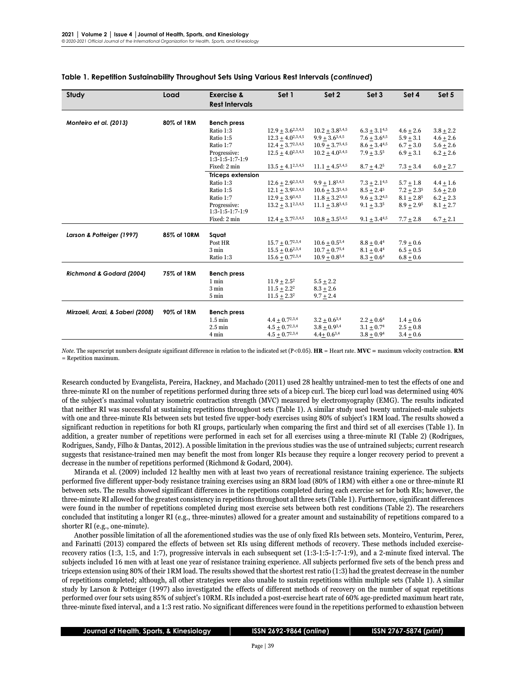| <b>Rest Intervals</b><br>Monteiro et al. (2013)<br>80% of 1RM<br><b>Bench press</b><br>$12.9 + 3.6^{2,3,4,5}$<br>$10.2 + 3.8^{3,4,5}$<br>Ratio 1:3<br>$6.3 + 3.1^{4,5}$<br>$4.6 \pm 2.6$<br>$3.8 + 2.2$<br>Ratio 1:5<br>$12.3 + 4.0^{2,3,4,5}$<br>$9.9 + 3.6^{3,4,5}$<br>$7.6 + 3.645$<br>$5.9 + 3.1$<br>$4.6 + 2.6$<br>Ratio 1:7<br>$12.4 + 3.7^{2,3,4,5}$<br>$10.9 + 3.7^{3,4,5}$<br>$8.6 + 3.44.5$<br>$6.7 + 3.0$<br>$5.6 + 2.6$<br>Progressive:<br>$12.5 + 4.0^{2,3,4,5}$<br>$10.2 + 4.0^{3,4,5}$<br>$7.9 + 3.5^5$<br>$6.9 + 3.1$<br>$6.2 + 2.6$<br>$1:3-1:5-1:7-1:9$<br>Fixed: 2 min<br>$13.5 + 4.1^{2,3,4,5}$<br>$11.1 + 4.5^{3,4,5}$<br>$7.3 + 3.4$<br>$8.7 + 4.2^5$<br>$6.0 + 2.7$<br><b>Triceps extension</b><br>Ratio 1:3<br>$12.6 + 2.9^{2,3,4,5}$<br>$9.9 + 1.8^{3,4,5}$<br>$7.3 + 2.1^{4.5}$<br>$5.7 + 1.8$<br>$4.4 + 1.6$<br>$12.1 + 3.9^{2,3,4,5}$<br>$10.6 + 3.3^{3,4,5}$<br>$8.5 + 2.4^5$<br>$7.2 + 2.35$<br>Ratio 1:5<br>$5.6 + 2.0$<br>$12.9 + 3.9^{3,4,5}$<br>$11.8 + 3.2^{3,4,5}$<br>$9.6 + 3.2^{4.5}$<br>Ratio 1:7<br>$8.1 + 2.8^5$<br>$6.2 + 2.3$<br>$13.2 + 3.1^{2,3,4,5}$<br>$11.1 + 3.8^{3,4,5}$<br>$9.1 + 3.3^{5}$<br>$8.9 + 2.95$<br>Progressive:<br>$8.1 \pm 2.7$<br>$1:3-1:5-1:7-1:9$<br>Fixed: 2 min<br>$12.4 + 3.7^{2,3,4,5}$<br>$10.8 + 3.5^{3,4,5}$<br>$9.1 \pm 3.4^{4.5}$<br>$6.7 \pm 2.1$<br>$7.7 \pm 2.8$<br>Larson & Potteiger (1997)<br>85% of 10RM<br>Sauat<br>Post HR<br>$15.7 + 0.7^{2,3,4}$<br>$10.6 + 0.5^{3,4}$<br>$8.8 + 0.44$<br>$7.9 + 0.6$<br>$15.5 + 0.6^{2,3,4}$<br>$10.7 + 0.7^{3,4}$<br>$8.1 + 0.44$<br>3 min<br>$6.5 + 0.5$<br>Ratio 1:3<br>$15.6 + 0.7^{2,3,4}$<br>$10.9 + 0.8^{3,4}$<br>$8.3 + 0.64$<br>$6.8 + 0.6$<br>Richmond & Godard (2004)<br>75% of 1RM<br><b>Bench press</b><br>$1 \text{ min}$<br>$11.9 + 2.5^2$<br>$5.5 + 2.2$<br>$11.5 + 2.2^2$<br>3 min<br>$8.3 + 2.6$<br>$11.5 + 2.3^2$<br>$9.7 + 2.4$<br>$5 \text{ min}$ | Study                            | Load       | <b>Exercise &amp;</b> | Set 1 | Set <sub>2</sub> | Set <sub>3</sub> | Set 4 | Set 5 |
|-----------------------------------------------------------------------------------------------------------------------------------------------------------------------------------------------------------------------------------------------------------------------------------------------------------------------------------------------------------------------------------------------------------------------------------------------------------------------------------------------------------------------------------------------------------------------------------------------------------------------------------------------------------------------------------------------------------------------------------------------------------------------------------------------------------------------------------------------------------------------------------------------------------------------------------------------------------------------------------------------------------------------------------------------------------------------------------------------------------------------------------------------------------------------------------------------------------------------------------------------------------------------------------------------------------------------------------------------------------------------------------------------------------------------------------------------------------------------------------------------------------------------------------------------------------------------------------------------------------------------------------------------------------------------------------------------------------------------------------------------------------------------------------------------------------------------------------------------------------------------------------------------|----------------------------------|------------|-----------------------|-------|------------------|------------------|-------|-------|
|                                                                                                                                                                                                                                                                                                                                                                                                                                                                                                                                                                                                                                                                                                                                                                                                                                                                                                                                                                                                                                                                                                                                                                                                                                                                                                                                                                                                                                                                                                                                                                                                                                                                                                                                                                                                                                                                                               |                                  |            |                       |       |                  |                  |       |       |
|                                                                                                                                                                                                                                                                                                                                                                                                                                                                                                                                                                                                                                                                                                                                                                                                                                                                                                                                                                                                                                                                                                                                                                                                                                                                                                                                                                                                                                                                                                                                                                                                                                                                                                                                                                                                                                                                                               |                                  |            |                       |       |                  |                  |       |       |
|                                                                                                                                                                                                                                                                                                                                                                                                                                                                                                                                                                                                                                                                                                                                                                                                                                                                                                                                                                                                                                                                                                                                                                                                                                                                                                                                                                                                                                                                                                                                                                                                                                                                                                                                                                                                                                                                                               |                                  |            |                       |       |                  |                  |       |       |
|                                                                                                                                                                                                                                                                                                                                                                                                                                                                                                                                                                                                                                                                                                                                                                                                                                                                                                                                                                                                                                                                                                                                                                                                                                                                                                                                                                                                                                                                                                                                                                                                                                                                                                                                                                                                                                                                                               |                                  |            |                       |       |                  |                  |       |       |
|                                                                                                                                                                                                                                                                                                                                                                                                                                                                                                                                                                                                                                                                                                                                                                                                                                                                                                                                                                                                                                                                                                                                                                                                                                                                                                                                                                                                                                                                                                                                                                                                                                                                                                                                                                                                                                                                                               |                                  |            |                       |       |                  |                  |       |       |
|                                                                                                                                                                                                                                                                                                                                                                                                                                                                                                                                                                                                                                                                                                                                                                                                                                                                                                                                                                                                                                                                                                                                                                                                                                                                                                                                                                                                                                                                                                                                                                                                                                                                                                                                                                                                                                                                                               |                                  |            |                       |       |                  |                  |       |       |
|                                                                                                                                                                                                                                                                                                                                                                                                                                                                                                                                                                                                                                                                                                                                                                                                                                                                                                                                                                                                                                                                                                                                                                                                                                                                                                                                                                                                                                                                                                                                                                                                                                                                                                                                                                                                                                                                                               |                                  |            |                       |       |                  |                  |       |       |
|                                                                                                                                                                                                                                                                                                                                                                                                                                                                                                                                                                                                                                                                                                                                                                                                                                                                                                                                                                                                                                                                                                                                                                                                                                                                                                                                                                                                                                                                                                                                                                                                                                                                                                                                                                                                                                                                                               |                                  |            |                       |       |                  |                  |       |       |
|                                                                                                                                                                                                                                                                                                                                                                                                                                                                                                                                                                                                                                                                                                                                                                                                                                                                                                                                                                                                                                                                                                                                                                                                                                                                                                                                                                                                                                                                                                                                                                                                                                                                                                                                                                                                                                                                                               |                                  |            |                       |       |                  |                  |       |       |
|                                                                                                                                                                                                                                                                                                                                                                                                                                                                                                                                                                                                                                                                                                                                                                                                                                                                                                                                                                                                                                                                                                                                                                                                                                                                                                                                                                                                                                                                                                                                                                                                                                                                                                                                                                                                                                                                                               |                                  |            |                       |       |                  |                  |       |       |
|                                                                                                                                                                                                                                                                                                                                                                                                                                                                                                                                                                                                                                                                                                                                                                                                                                                                                                                                                                                                                                                                                                                                                                                                                                                                                                                                                                                                                                                                                                                                                                                                                                                                                                                                                                                                                                                                                               |                                  |            |                       |       |                  |                  |       |       |
|                                                                                                                                                                                                                                                                                                                                                                                                                                                                                                                                                                                                                                                                                                                                                                                                                                                                                                                                                                                                                                                                                                                                                                                                                                                                                                                                                                                                                                                                                                                                                                                                                                                                                                                                                                                                                                                                                               |                                  |            |                       |       |                  |                  |       |       |
|                                                                                                                                                                                                                                                                                                                                                                                                                                                                                                                                                                                                                                                                                                                                                                                                                                                                                                                                                                                                                                                                                                                                                                                                                                                                                                                                                                                                                                                                                                                                                                                                                                                                                                                                                                                                                                                                                               |                                  |            |                       |       |                  |                  |       |       |
|                                                                                                                                                                                                                                                                                                                                                                                                                                                                                                                                                                                                                                                                                                                                                                                                                                                                                                                                                                                                                                                                                                                                                                                                                                                                                                                                                                                                                                                                                                                                                                                                                                                                                                                                                                                                                                                                                               |                                  |            |                       |       |                  |                  |       |       |
|                                                                                                                                                                                                                                                                                                                                                                                                                                                                                                                                                                                                                                                                                                                                                                                                                                                                                                                                                                                                                                                                                                                                                                                                                                                                                                                                                                                                                                                                                                                                                                                                                                                                                                                                                                                                                                                                                               |                                  |            |                       |       |                  |                  |       |       |
|                                                                                                                                                                                                                                                                                                                                                                                                                                                                                                                                                                                                                                                                                                                                                                                                                                                                                                                                                                                                                                                                                                                                                                                                                                                                                                                                                                                                                                                                                                                                                                                                                                                                                                                                                                                                                                                                                               |                                  |            |                       |       |                  |                  |       |       |
|                                                                                                                                                                                                                                                                                                                                                                                                                                                                                                                                                                                                                                                                                                                                                                                                                                                                                                                                                                                                                                                                                                                                                                                                                                                                                                                                                                                                                                                                                                                                                                                                                                                                                                                                                                                                                                                                                               |                                  |            |                       |       |                  |                  |       |       |
|                                                                                                                                                                                                                                                                                                                                                                                                                                                                                                                                                                                                                                                                                                                                                                                                                                                                                                                                                                                                                                                                                                                                                                                                                                                                                                                                                                                                                                                                                                                                                                                                                                                                                                                                                                                                                                                                                               |                                  |            |                       |       |                  |                  |       |       |
|                                                                                                                                                                                                                                                                                                                                                                                                                                                                                                                                                                                                                                                                                                                                                                                                                                                                                                                                                                                                                                                                                                                                                                                                                                                                                                                                                                                                                                                                                                                                                                                                                                                                                                                                                                                                                                                                                               |                                  |            |                       |       |                  |                  |       |       |
|                                                                                                                                                                                                                                                                                                                                                                                                                                                                                                                                                                                                                                                                                                                                                                                                                                                                                                                                                                                                                                                                                                                                                                                                                                                                                                                                                                                                                                                                                                                                                                                                                                                                                                                                                                                                                                                                                               |                                  |            |                       |       |                  |                  |       |       |
|                                                                                                                                                                                                                                                                                                                                                                                                                                                                                                                                                                                                                                                                                                                                                                                                                                                                                                                                                                                                                                                                                                                                                                                                                                                                                                                                                                                                                                                                                                                                                                                                                                                                                                                                                                                                                                                                                               |                                  |            |                       |       |                  |                  |       |       |
|                                                                                                                                                                                                                                                                                                                                                                                                                                                                                                                                                                                                                                                                                                                                                                                                                                                                                                                                                                                                                                                                                                                                                                                                                                                                                                                                                                                                                                                                                                                                                                                                                                                                                                                                                                                                                                                                                               |                                  |            |                       |       |                  |                  |       |       |
|                                                                                                                                                                                                                                                                                                                                                                                                                                                                                                                                                                                                                                                                                                                                                                                                                                                                                                                                                                                                                                                                                                                                                                                                                                                                                                                                                                                                                                                                                                                                                                                                                                                                                                                                                                                                                                                                                               |                                  |            |                       |       |                  |                  |       |       |
|                                                                                                                                                                                                                                                                                                                                                                                                                                                                                                                                                                                                                                                                                                                                                                                                                                                                                                                                                                                                                                                                                                                                                                                                                                                                                                                                                                                                                                                                                                                                                                                                                                                                                                                                                                                                                                                                                               |                                  |            |                       |       |                  |                  |       |       |
|                                                                                                                                                                                                                                                                                                                                                                                                                                                                                                                                                                                                                                                                                                                                                                                                                                                                                                                                                                                                                                                                                                                                                                                                                                                                                                                                                                                                                                                                                                                                                                                                                                                                                                                                                                                                                                                                                               | Mirzaeli, Arazi, & Saberi (2008) | 90% of 1RM | <b>Bench press</b>    |       |                  |                  |       |       |
| $1.5 \text{ min}$<br>$4.4 + 0.7^{2,3,4}$<br>$3.2 + 0.6^{3,4}$<br>$2.2 + 0.64$<br>$1.4 + 0.6$                                                                                                                                                                                                                                                                                                                                                                                                                                                                                                                                                                                                                                                                                                                                                                                                                                                                                                                                                                                                                                                                                                                                                                                                                                                                                                                                                                                                                                                                                                                                                                                                                                                                                                                                                                                                  |                                  |            |                       |       |                  |                  |       |       |
| $2.5 \text{ min}$<br>$4.5 + 0.7^{2,3,4}$<br>$3.8 + 0.9^{3,4}$<br>$3.1 + 0.74$<br>$2.5 + 0.8$                                                                                                                                                                                                                                                                                                                                                                                                                                                                                                                                                                                                                                                                                                                                                                                                                                                                                                                                                                                                                                                                                                                                                                                                                                                                                                                                                                                                                                                                                                                                                                                                                                                                                                                                                                                                  |                                  |            |                       |       |                  |                  |       |       |
| $4.5 + 0.7^{2,3,4}$<br>$4.4 + 0.6^{3,4}$<br>$3.8 + 0.94$<br>$3.4 + 0.6$<br>4 min                                                                                                                                                                                                                                                                                                                                                                                                                                                                                                                                                                                                                                                                                                                                                                                                                                                                                                                                                                                                                                                                                                                                                                                                                                                                                                                                                                                                                                                                                                                                                                                                                                                                                                                                                                                                              |                                  |            |                       |       |                  |                  |       |       |

#### **Table 1. Repetition Sustainability Throughout Sets Using Various Rest Intervals (***continued***)**

*Note.* The superscript numbers designate significant difference in relation to the indicated set (P<0.05). **HR** = Heart rate. **MVC =** maximum velocity contraction. **RM** = Repetition maximum.

Research conducted by Evangelista, Pereira, Hackney, and Machado (2011) used 28 healthy untrained-men to test the effects of one and three-minute RI on the number of repetitions performed during three sets of a bicep curl. The bicep curl load was determined using 40% of the subject's maximal voluntary isometric contraction strength (MVC) measured by electromyography (EMG). The results indicated that neither RI was successful at sustaining repetitions throughout sets (Table 1). A similar study used twenty untrained-male subjects with one and three-minute RIs between sets but tested five upper-body exercises using 80% of subject's 1RM load. The results showed a significant reduction in repetitions for both RI groups, particularly when comparing the first and third set of all exercises (Table 1). In addition, a greater number of repetitions were performed in each set for all exercises using a three-minute RI (Table 2) (Rodrigues, Rodrigues, Sandy, Filho & Dantas, 2012). A possible limitation in the previous studies was the use of untrained subjects; current research suggests that resistance-trained men may benefit the most from longer RIs because they require a longer recovery period to prevent a decrease in the number of repetitions performed (Richmond & Godard, 2004).

Miranda et al. (2009) included 12 healthy men with at least two years of recreational resistance training experience. The subjects performed five different upper-body resistance training exercises using an 8RM load (80% of 1RM) with either a one or three-minute RI between sets. The results showed significant differences in the repetitions completed during each exercise set for both RIs; however, the three-minute RI allowed for the greatest consistency in repetitions throughout all three sets (Table 1). Furthermore, significant differences were found in the number of repetitions completed during most exercise sets between both rest conditions (Table 2). The researchers concluded that instituting a longer RI (e.g., three-minutes) allowed for a greater amount and sustainability of repetitions compared to a shorter RI (e.g., one-minute).

Another possible limitation of all the aforementioned studies was the use of only fixed RIs between sets. Monteiro, Venturim, Perez, and Farinatti (2013) compared the effects of between set RIs using different methods of recovery. These methods included exerciserecovery ratios (1:3, 1:5, and 1:7), progressive intervals in each subsequent set (1:3-1:5-1:7-1:9), and a 2-minute fixed interval. The subjects included 16 men with at least one year of resistance training experience. All subjects performed five sets of the bench press and triceps extension using 80% of their 1RM load. The results showed that the shortest rest ratio (1:3) had the greatest decrease in the number of repetitions completed; although, all other strategies were also unable to sustain repetitions within multiple sets (Table 1). A similar study by Larson & Potteiger (1997) also investigated the effects of different methods of recovery on the number of squat repetitions performed over four sets using 85% of subject's 10RM. RIs included a post-exercise heart rate of 60% age-predicted maximum heart rate, three-minute fixed interval, and a 1:3 rest ratio. No significant differences were found in the repetitions performed to exhaustion between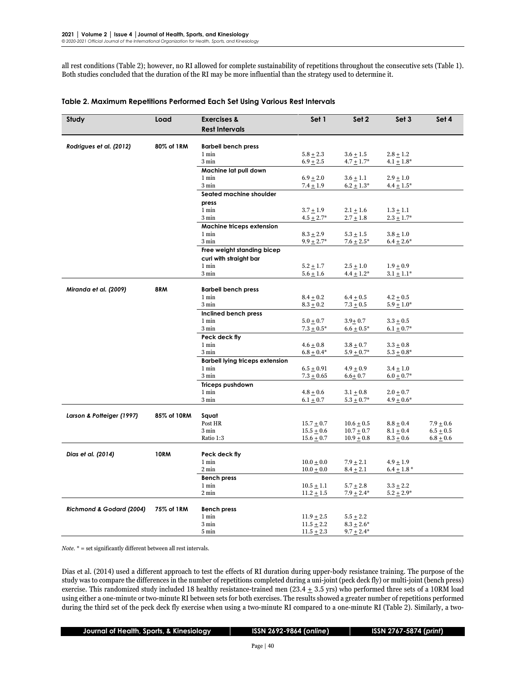all rest conditions (Table 2); however, no RI allowed for complete sustainability of repetitions throughout the consecutive sets (Table 1). Both studies concluded that the duration of the RI may be more influential than the strategy used to determine it.

| Study                     | Load        | <b>Exercises &amp;</b>                 | Set 1           | Set 2           | Set <sub>3</sub> | Set 4         |
|---------------------------|-------------|----------------------------------------|-----------------|-----------------|------------------|---------------|
|                           |             | <b>Rest Intervals</b>                  |                 |                 |                  |               |
|                           |             |                                        |                 |                 |                  |               |
| Rodrigues et al. (2012)   | 80% of 1RM  | <b>Barbell bench press</b>             |                 |                 |                  |               |
|                           |             | 1 min                                  | $5.8 + 2.3$     | $3.6 + 1.5$     | $2.8 + 1.2$      |               |
|                           |             | 3 min                                  | $6.9 + 2.5$     | $4.7 \pm 1.7^*$ | $4.1 \pm 1.8^*$  |               |
|                           |             | Machine lat pull down                  |                 |                 |                  |               |
|                           |             | 1 min                                  | $6.9 \pm 2.0$   | $3.6 \pm 1.1$   | $2.9 \pm 1.0$    |               |
|                           |             | 3 min                                  | $7.4 \pm 1.9$   | $6.2 \pm 1.3^*$ | $4.4 \pm 1.5^*$  |               |
|                           |             | Seated machine shoulder                |                 |                 |                  |               |
|                           |             | press                                  |                 |                 |                  |               |
|                           |             | $1$ min                                | $3.7 + 1.9$     | $2.1 \pm 1.6$   | $1.3 \pm 1.1$    |               |
|                           |             | 3 min                                  | $4.5 \pm 2.7^*$ | $2.7 \pm 1.8$   | $2.3 \pm 1.7^*$  |               |
|                           |             | Machine triceps extension              |                 |                 |                  |               |
|                           |             | 1 min                                  | $8.3 + 2.9$     | $5.3 + 1.5$     | $3.8 + 1.0$      |               |
|                           |             | $3 \text{ min}$                        | $9.9 \pm 2.7^*$ | $7.6 \pm 2.5^*$ | $6.4 \pm 2.6*$   |               |
|                           |             | Free weight standing bicep             |                 |                 |                  |               |
|                           |             | curl with straight bar                 |                 |                 |                  |               |
|                           |             | 1 min                                  | $5.2 + 1.7$     | $2.5 + 1.0$     | $1.9 + 0.9$      |               |
|                           |             | 3 min                                  | $5.6 + 1.6$     | $4.4 + 1.2*$    | $3.1 \pm 1.1^*$  |               |
|                           |             |                                        |                 |                 |                  |               |
| Miranda et al. (2009)     | 8RM         | <b>Barbell bench press</b>             |                 |                 |                  |               |
|                           |             | 1 min                                  | $8.4 \pm 0.2$   | $6.4 \pm 0.5$   | $4.2 \pm 0.5$    |               |
|                           |             | 3 min                                  | $8.3 + 0.2$     | $7.3 \pm 0.5$   | $5.9 \pm 1.0*$   |               |
|                           |             | Inclined bench press                   |                 |                 |                  |               |
|                           |             | 1 min                                  | $5.0 + 0.7$     | $3.9 + 0.7$     | $3.3 + 0.5$      |               |
|                           |             | 3 min                                  | $7.3 \pm 0.5^*$ | $6.6 \pm 0.5^*$ | $6.1 \pm 0.7^*$  |               |
|                           |             | Peck deck fly                          |                 |                 |                  |               |
|                           |             | 1 min                                  | $4.6 \pm 0.8$   | $3.8 \pm 0.7$   | $3.3 \pm 0.8$    |               |
|                           |             | 3 min                                  | $6.8 \pm 0.4*$  | $5.9 \pm 0.7^*$ | $5.3 \pm 0.8^*$  |               |
|                           |             | <b>Barbell lying triceps extension</b> |                 |                 |                  |               |
|                           |             | $1 \text{ min}$                        | $6.5 + 0.91$    | $4.9 + 0.9$     | $3.4 + 1.0$      |               |
|                           |             | $3 \text{ min}$                        | $7.3 \pm 0.65$  | $6.6 + 0.7$     | $6.0 \pm 0.7^*$  |               |
|                           |             | Triceps pushdown                       |                 |                 |                  |               |
|                           |             | 1 min                                  | $4.8 + 0.6$     | $3.1 + 0.8$     | $2.0 \pm 0.7$    |               |
|                           |             | $3 \ \mathrm{min}$                     | $6.1 \pm 0.7$   | $5.3 \pm 0.7^*$ | $4.9 \pm 0.6*$   |               |
|                           |             |                                        |                 |                 |                  |               |
| Larson & Potteiger (1997) | 85% of 10RM | Squat                                  |                 |                 |                  |               |
|                           |             | Post HR                                | $15.7 + 0.7$    | $10.6 \pm 0.5$  | $8.8 + 0.4$      | $7.9 \pm 0.6$ |
|                           |             | $3 \text{ min}$                        | $15.5 + 0.6$    | $10.7 + 0.7$    | $8.1 \pm 0.4$    | $6.5 + 0.5$   |
|                           |             | Ratio 1:3                              | $15.6 \pm 0.7$  | $10.9 + 0.8$    | $8.3 + 0.6$      | $6.8 + 0.6$   |
|                           |             |                                        |                 |                 |                  |               |
| Dias et al. (2014)        | <b>10RM</b> | Peck deck fly                          |                 |                 |                  |               |
|                           |             | $1 \text{ min}$                        | $10.0 + 0.0$    | $7.9 \pm 2.1$   | $4.9 \pm 1.9$    |               |
|                           |             | 2 min                                  | $10.0 + 0.0$    | $8.4 \pm 2.1$   | $6.4 \pm 1.8$ *  |               |
|                           |             | <b>Bench press</b>                     |                 |                 |                  |               |
|                           |             | 1 min                                  | $10.5 \pm 1.1$  | $5.7 \pm 2.8$   | $3.3 \pm 2.2$    |               |
|                           |             | 2 min                                  | $11.2 \pm 1.5$  | $7.9 \pm 2.4*$  | $5.2 \pm 2.9^*$  |               |
|                           |             |                                        |                 |                 |                  |               |
| Richmond & Godard (2004)  | 75% of 1RM  | <b>Bench press</b>                     |                 |                 |                  |               |
|                           |             | 1 min                                  | $11.9 + 2.5$    | $5.5 + 2.2$     |                  |               |
|                           |             | 3 min                                  | $11.5 + 2.2$    | $8.3 + 2.6*$    |                  |               |
|                           |             | 5 min                                  | $11.5 + 2.3$    | $9.7 + 2.4*$    |                  |               |

#### **Table 2. Maximum Repetitions Performed Each Set Using Various Rest Intervals**

 $\emph{Note.}$   $\displaystyle ^*$  = set significantly different between all rest intervals.

Dias et al. (2014) used a different approach to test the effects of RI duration during upper-body resistance training. The purpose of the study was to compare the differences in the number of repetitions completed during a uni-joint (peck deck fly) or multi-joint (bench press) exercise. This randomized study included 18 healthy resistance-trained men  $(23.4 \pm 3.5 \text{ yrs})$  who performed three sets of a 10RM load using either a one-minute or two-minute RI between sets for both exercises. The results showed a greater number of repetitions performed during the third set of the peck deck fly exercise when using a two-minute RI compared to a one-minute RI (Table 2). Similarly, a two-

 **Journal of Health, Sports, & Kinesiology │ ISSN 2692-9864 (***online***) │ ISSN 2767-5874 (***print***)**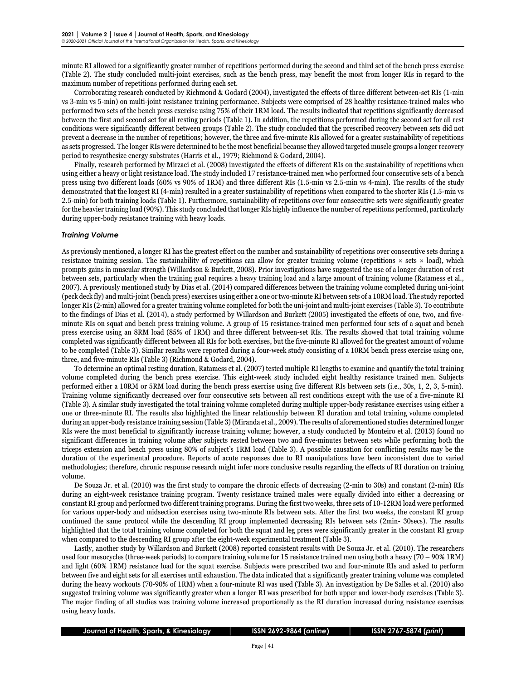minute RI allowed for a significantly greater number of repetitions performed during the second and third set of the bench press exercise (Table 2). The study concluded multi-joint exercises, such as the bench press, may benefit the most from longer RIs in regard to the maximum number of repetitions performed during each set.

Corroborating research conducted by Richmond & Godard (2004), investigated the effects of three different between-set RIs (1-min vs 3-min vs 5-min) on multi-joint resistance training performance. Subjects were comprised of 28 healthy resistance-trained males who performed two sets of the bench press exercise using 75% of their 1RM load. The results indicated that repetitions significantly decreased between the first and second set for all resting periods (Table 1). In addition, the repetitions performed during the second set for all rest conditions were significantly different between groups (Table 2). The study concluded that the prescribed recovery between sets did not prevent a decrease in the number of repetitions; however, the three and five-minute RIs allowed for a greater sustainability of repetitions as sets progressed. The longer RIs were determined to be the most beneficial because they allowed targeted muscle groups a longer recovery period to resynthesize energy substrates (Harris et al., 1979; Richmond & Godard, 2004).

Finally, research performed by Mirzaei et al. (2008) investigated the effects of different RIs on the sustainability of repetitions when using either a heavy or light resistance load. The study included 17 resistance-trained men who performed four consecutive sets of a bench press using two different loads (60% vs 90% of 1RM) and three different RIs (1.5-min vs 2.5-min vs 4-min). The results of the study demonstrated that the longest RI (4-min) resulted in a greater sustainability of repetitions when compared to the shorter RIs (1.5-min vs 2.5-min) for both training loads (Table 1). Furthermore, sustainability of repetitions over four consecutive sets were significantly greater forthe heavier training load (90%). This study concluded that longer RIs highly influence the number of repetitions performed, particularly during upper-body resistance training with heavy loads.

#### *Training Volume*

As previously mentioned, a longer RI has the greatest effect on the number and sustainability of repetitions over consecutive sets during a resistance training session. The sustainability of repetitions can allow for greater training volume (repetitions  $\times$  sets  $\times$  load), which prompts gains in muscular strength (Willardson & Burkett, 2008). Prior investigations have suggested the use of a longer duration of rest between sets, particularly when the training goal requires a heavy training load and a large amount of training volume (Ratamess et al., 2007). A previously mentioned study by Dias et al. (2014) compared differences between the training volume completed during uni-joint (peck deck fly) and multi-joint (bench press) exercises using either a one or two-minute RI between sets of a 10RM load. The study reported longer RIs (2-min) allowed for a greater training volume completed for both the uni-joint and multi-joint exercises (Table 3). To contribute to the findings of Dias et al. (2014), a study performed by Willardson and Burkett (2005) investigated the effects of one, two, and fiveminute RIs on squat and bench press training volume. A group of 15 resistance-trained men performed four sets of a squat and bench press exercise using an 8RM load (85% of 1RM) and three different between-set RIs. The results showed that total training volume completed was significantly different between all RIs for both exercises, but the five-minute RI allowed for the greatest amount of volume to be completed (Table 3). Similar results were reported during a four-week study consisting of a 10RM bench press exercise using one, three, and five-minute RIs (Table 3) (Richmond & Godard, 2004).

To determine an optimal resting duration, Ratamess et al. (2007) tested multiple RI lengths to examine and quantify the total training volume completed during the bench press exercise. This eight-week study included eight healthy resistance trained men. Subjects performed either a 10RM or 5RM load during the bench press exercise using five different RIs between sets (i.e., 30s, 1, 2, 3, 5-min). Training volume significantly decreased over four consecutive sets between all rest conditions except with the use of a five-minute RI (Table 3). A similar study investigated the total training volume completed during multiple upper-body resistance exercises using either a one or three-minute RI. The results also highlighted the linear relationship between RI duration and total training volume completed during an upper-body resistance training session (Table 3) (Miranda et al., 2009). The results of aforementioned studies determined longer RIs were the most beneficial to significantly increase training volume; however, a study conducted by Monteiro et al. (2013) found no significant differences in training volume after subjects rested between two and five-minutes between sets while performing both the triceps extension and bench press using 80% of subject's 1RM load (Table 3). A possible causation for conflicting results may be the duration of the experimental procedure. Reports of acute responses due to RI manipulations have been inconsistent due to varied methodologies; therefore, chronic response research might infer more conclusive results regarding the effects of RI duration on training volume.

De Souza Jr. et al. (2010) was the first study to compare the chronic effects of decreasing (2-min to 30s) and constant (2-min) RIs during an eight-week resistance training program. Twenty resistance trained males were equally divided into either a decreasing or constant RI group and performed two different training programs. During the first two weeks, three sets of 10-12RM load were performed for various upper-body and midsection exercises using two-minute RIs between sets. After the first two weeks, the constant RI group continued the same protocol while the descending RI group implemented decreasing RIs between sets (2min- 30secs). The results highlighted that the total training volume completed for both the squat and leg press were significantly greater in the constant RI group when compared to the descending RI group after the eight-week experimental treatment (Table 3).

Lastly, another study by Willardson and Burkett (2008) reported consistent results with De Souza Jr. et al. (2010). The researchers used four mesocycles (three-week periods) to compare training volume for 15 resistance trained men using both a heavy (70 – 90% 1RM) and light (60% 1RM) resistance load for the squat exercise. Subjects were prescribed two and four-minute RIs and asked to perform between five and eight sets for all exercises until exhaustion. The data indicated that a significantly greater training volume was completed during the heavy workouts (70-90% of 1RM) when a four-minute RI was used (Table 3). An investigation by De Salles et al. (2010) also suggested training volume was significantly greater when a longer RI was prescribed for both upper and lower-body exercises (Table 3). The major finding of all studies was training volume increased proportionally as the RI duration increased during resistance exercises using heavy loads.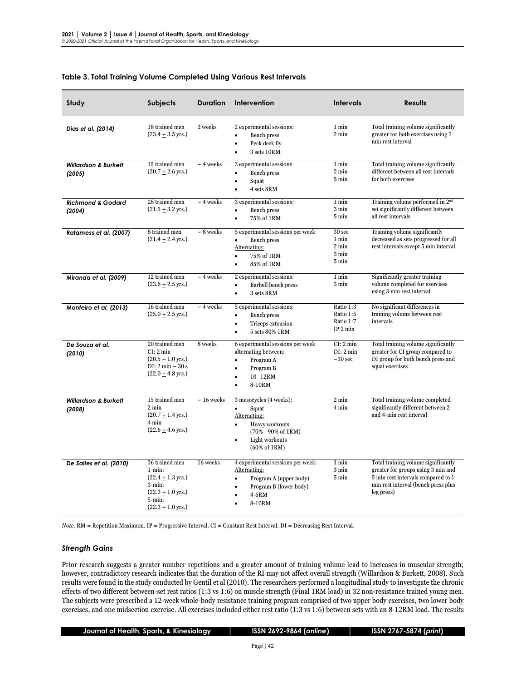| Study                                     | <b>Subjects</b>                                                                                                                                     | <b>Duration</b> | Intervention                                                                                                                                                                           | <b>Intervals</b>                                                | <b>Results</b>                                                                                                                                                       |
|-------------------------------------------|-----------------------------------------------------------------------------------------------------------------------------------------------------|-----------------|----------------------------------------------------------------------------------------------------------------------------------------------------------------------------------------|-----------------------------------------------------------------|----------------------------------------------------------------------------------------------------------------------------------------------------------------------|
| Dias et al. (2014)                        | 18 trained men<br>$(23.4 \pm 3.5 \text{ yrs.})$                                                                                                     | 2 weeks         | 2 experimental sessions:<br><b>Bench</b> press<br>$\bullet$<br>Peck deck fly<br>3 sets 10RM<br>$\bullet$                                                                               | 1 min<br>$2 \text{ min}$                                        | Total training volume significantly<br>greater for both exercises using 2<br>min rest interval                                                                       |
| <b>Willardson &amp; Burkett</b><br>(2005) | 15 trained men<br>$(20.7 + 2.6$ yrs.)                                                                                                               | $\sim$ 4 weeks  | 3 experimental sessions<br>Bench press<br>Squat<br>$\bullet$<br>4 sets 8RM<br>$\bullet$                                                                                                | 1 min<br>2 min<br>5 min                                         | Total training volume significantly<br>different between all rest intervals<br>for both exercises                                                                    |
| <b>Richmond &amp; Godard</b><br>(2004)    | 28 trained men<br>$(21.5 \pm 3.2 \,\text{yrs.})$                                                                                                    | $\sim$ 4 weeks  | 3 experimental sessions:<br>Bench press<br>75% of 1RM<br>$\bullet$                                                                                                                     | 1 min<br>3 min<br>5 min                                         | Training volume performed in 2 <sup>nd</sup><br>set significantly different between<br>all rest intervals                                                            |
| Ratamess et al. (2007)                    | 8 trained men<br>$(21.4 \pm 2.4 \text{ yrs.})$                                                                                                      | $\sim$ 8 weeks  | 5 experimental sessions per week<br><b>Bench</b> press<br>Alternating:<br>75% of 1RM<br>$\bullet$<br>85% of 1RM                                                                        | 30 <sub>sec</sub><br>1 min<br>$2 \text{ min}$<br>3 min<br>5 min | Training volume significantly<br>decreased as sets progressed for all<br>rest intervals except 5 min interval                                                        |
| Miranda et al. (2009)                     | 12 trained men<br>$(23.6 \pm 2.5 \text{ yrs.})$                                                                                                     | $\sim$ 4 weeks  | 2 experimental sessions:<br><b>Barbell bench press</b><br>$\bullet$<br>3 sets 8RM<br>$\bullet$                                                                                         | 1 min<br>3 min                                                  | Significantly greater training<br>volume completed for exercises<br>using 3 min rest interval                                                                        |
| Monteiro et al. (2013)                    | 16 trained men<br>$(25.0 \pm 2.5 \text{ yrs.})$                                                                                                     | $\sim$ 4 weeks  | 5 experimental sessions:<br>Bench press<br>Triceps extension<br>$\bullet$<br>5 sets 80% 1RM<br>$\bullet$                                                                               | Ratio 1:3<br>Ratio 1:5<br>Ratio 1:7<br>IP 2 min                 | No significant differences in<br>training volume between rest<br>intervals                                                                                           |
| De Souza et al.<br>(2010)                 | 20 trained men<br>CI: 2 min<br>$(20.5 + 1.0$ yrs.)<br>$DI: 2 min - 30 s$<br>$(22.0 \pm 4.8 \text{ yrs.})$                                           | 8 weeks         | 6 experimental sessions per week<br>alternating between:<br>Program A<br>$\bullet$<br>Program B<br>$\bullet$<br>$10-12RM$<br>$\bullet$<br>8-10RM<br>$\bullet$                          | CI: 2 min<br>DI: 2 min<br>$-30$ sec                             | Total training volume significantly<br>greater for CI group compared to<br>DI group for both bench press and<br>squat exercises                                      |
| <b>Willardson &amp; Burkett</b><br>(2008) | 15 trained men<br>2 min<br>$(20.7 \pm 1.4 \text{ yrs.})$<br>4 min<br>$(22.6 \pm 4.6 \text{ yrs.})$                                                  | $\sim$ 16 weeks | 3 mesocycles (4 weeks):<br>Squat<br>$\bullet$<br>Alternating:<br>Heavy workouts<br>$\bullet$<br>$(70\% - 90\% \text{ of } 1 \text{RM})$<br>Light workouts<br>$\bullet$<br>(60% of 1RM) | $2 \text{ min}$<br>4 min                                        | Total training volume completed<br>significantly different between 2-<br>and 4-min rest interval                                                                     |
| De Salles et al. (2010)                   | 36 trained men<br>$1 - min$ :<br>$(22.4 + 1.3$ yrs.)<br>$3$ -min:<br>$(22.3 \pm 1.0 \,\text{yrs.})$<br>$5 - min:$<br>$(22.3 \pm 1.0 \,\text{yrs.})$ | 16 weeks        | 4 experimental sessions per week:<br>Alternating:<br>Program A (upper body)<br>Program B (lower body)<br>4-6RM<br>8-10RM                                                               | 1 min<br>3 min<br>5 min                                         | Total training volume significantly<br>greater for groups using 3 min and<br>5 min rest intervals compared to 1<br>min rest interval (bench press plus<br>leg press) |

#### **Table 3. Total Training Volume Completed Using Various Rest Intervals**

*Note.* RM = Repetition Maximum. IP = Progressive Interval. CI = Constant Rest Interval. DI = Decreasing Rest Interval.

#### *Strength Gains*

Prior research suggests a greater number repetitions and a greater amount of training volume lead to increases in muscular strength; however, contradictory research indicates that the duration of the RI may not affect overall strength (Willardson & Burkett, 2008). Such results were found in the study conducted by Gentil et al (2010). The researchers performed a longitudinal study to investigate the chronic effects of two different between-set rest ratios (1:3 vs 1:6) on muscle strength (Final 1RM load) in 32 non-resistance trained young men. The subjects were prescribed a 12-week whole-body resistance training program comprised of two upper body exercises, two lower body exercises, and one midsection exercise. All exercises included either rest ratio (1:3 vs 1:6) between sets with an 8-12RM load. The results

 **Journal of Health, Sports, & Kinesiology │ ISSN 2692-9864 (***online***) │ ISSN 2767-5874 (***print***)**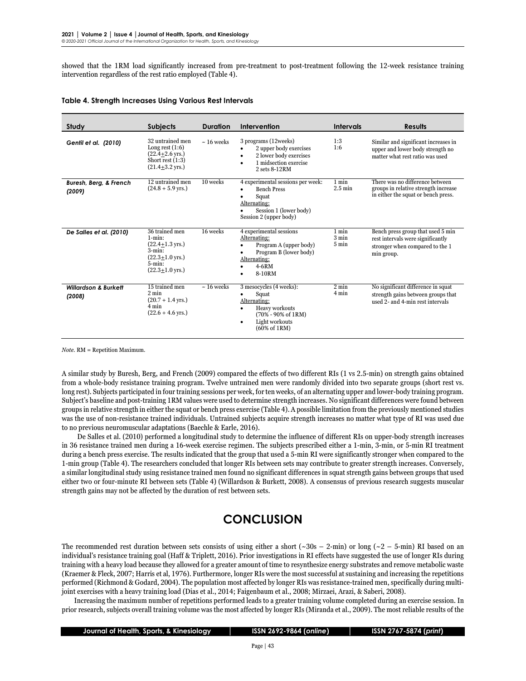showed that the 1RM load significantly increased from pre-treatment to post-treatment following the 12-week resistance training intervention regardless of the rest ratio employed (Table 4).

| Study                                     | <b>Subjects</b>                                                                                                                                     | <b>Duration</b> | Intervention                                                                                                                                                                          | Intervals                         | Results                                                                                                                 |
|-------------------------------------------|-----------------------------------------------------------------------------------------------------------------------------------------------------|-----------------|---------------------------------------------------------------------------------------------------------------------------------------------------------------------------------------|-----------------------------------|-------------------------------------------------------------------------------------------------------------------------|
| Gentil et al. (2010)                      | 32 untrained men<br>Long rest $(1:6)$<br>$(22.4+2.6 \text{ yrs.})$<br>Short rest $(1:3)$<br>$(21.4+3.2 \,\text{vrs.})$                              | $\sim$ 16 weeks | 3 programs (12weeks)<br>2 upper body exercises<br>$\bullet$<br>2 lower body exercises<br>٠<br>1 midsection exercise<br>٠<br>2 sets 8-12RM                                             | 1:3<br>1:6                        | Similar and significant increases in<br>upper and lower body strength no<br>matter what rest ratio was used             |
| Buresh, Berg, & French<br>(2009)          | 12 untrained men<br>$(24.8 + 5.9$ yrs.)                                                                                                             | 10 weeks        | 4 experimental sessions per week:<br><b>Bench Press</b><br>Squat<br>Alternating:<br>Session 1 (lower body)<br>Session 2 (upper body)                                                  | 1 min<br>$2.5 \text{ min}$        | There was no difference between<br>groups in relative strength increase<br>in either the squat or bench press.          |
| De Salles et al. (2010)                   | 36 trained men<br>$1 - min:$<br>$(22.4+1.3 \text{ yrs.})$<br>$3 - min$ :<br>$(22.3+1.0 \,\text{yrs.})$<br>$5 - min$ :<br>$(22.3+1.0 \,\text{yrs.})$ | 16 weeks        | 4 experimental sessions<br>Alternating:<br>Program A (upper body)<br>Program B (lower body)<br>Alternating:<br>$4-6RM$<br>8-10RM                                                      | 1 min<br>$3 \text{ min}$<br>5 min | Bench press group that used 5 min<br>rest intervals were significantly<br>stronger when compared to the 1<br>min group. |
| <b>Willardson &amp; Burkett</b><br>(2008) | 15 trained men<br>$2 \text{ min}$<br>$(20.7 + 1.4$ yrs.)<br>4 min<br>$(22.6 + 4.6$ yrs.)                                                            | $\sim$ 16 weeks | 3 mesocycles (4 weeks):<br>Squat<br>Alternating:<br>Heavy workouts<br>٠<br>$(70\% - 90\% \text{ of } 1 \text{RM})$<br>Light workouts<br>$\bullet$<br>$(60\% \text{ of } 1 \text{RM})$ | $2 \text{ min}$<br>4 min          | No significant difference in squat<br>strength gains between groups that<br>used 2- and 4-min rest intervals            |

*Note.* RM = Repetition Maximum.

A similar study by Buresh, Berg, and French (2009) compared the effects of two different RIs (1 vs 2.5-min) on strength gains obtained from a whole-body resistance training program. Twelve untrained men were randomly divided into two separate groups (short rest vs. long rest). Subjects participated in four training sessions per week, for ten weeks, of an alternating upper and lower-body training program. Subject's baseline and post-training 1RM values were used to determine strength increases. No significant differences were found between groups in relative strength in either the squat or bench press exercise (Table 4). A possible limitation from the previously mentioned studies was the use of non-resistance trained individuals. Untrained subjects acquire strength increases no matter what type of RI was used due to no previous neuromuscular adaptations (Baechle & Earle, 2016).

De Salles et al. (2010) performed a longitudinal study to determine the influence of different RIs on upper-body strength increases in 36 resistance trained men during a 16-week exercise regimen. The subjects prescribed either a 1-min, 3-min, or 5-min RI treatment during a bench press exercise. The results indicated that the group that used a 5-min RI were significantly stronger when compared to the 1-min group (Table 4). The researchers concluded that longer RIs between sets may contribute to greater strength increases. Conversely, a similar longitudinal study using resistance trained men found no significant differences in squat strength gains between groups that used either two or four-minute RI between sets (Table 4) (Willardson & Burkett, 2008). A consensus of previous research suggests muscular strength gains may not be affected by the duration of rest between sets.

## **CONCLUSION**

The recommended rest duration between sets consists of using either a short ( $\sim 30s - 2$ -min) or long ( $\sim 2 - 5$ -min) RI based on an individual's resistance training goal (Haff & Triplett, 2016). Prior investigations in RI effects have suggested the use of longer RIs during training with a heavy load because they allowed for a greater amount of time to resynthesize energy substrates and remove metabolic waste (Kraemer & Fleck, 2007; Harris et al, 1976). Furthermore, longer RIs were the most successful at sustaining and increasing the repetitions performed (Richmond & Godard, 2004). The population most affected by longer RIs was resistance-trained men, specifically during multijoint exercises with a heavy training load (Dias et al., 2014; Faigenbaum et al., 2008; Mirzaei, Arazi, & Saberi, 2008).

Increasing the maximum number of repetitions performed leads to a greater training volume completed during an exercise session. In prior research, subjects overall training volume was the most affected by longer RIs (Miranda et al., 2009). The most reliable results of the

| Journal of Health, Sports, & Kinesiology, |  |  |
|-------------------------------------------|--|--|
|-------------------------------------------|--|--|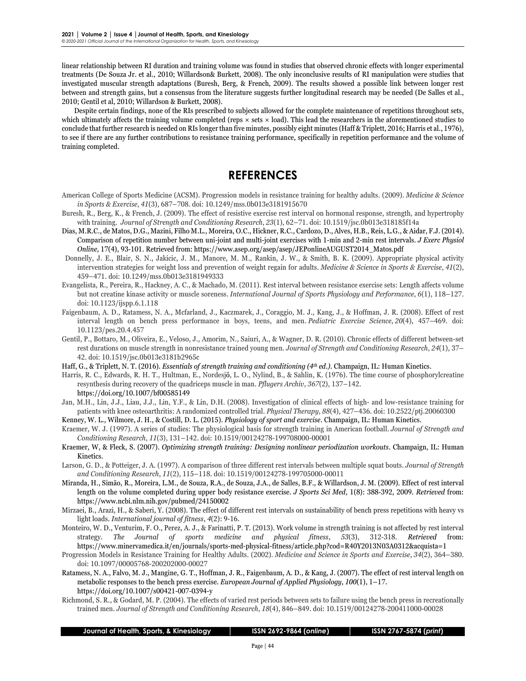linear relationship between RI duration and training volume was found in studies that observed chronic effects with longer experimental treatments (De Souza Jr. et al., 2010; Willardson& Burkett, 2008). The only inconclusive results of RI manipulation were studies that investigated muscular strength adaptations (Buresh, Berg, & French, 2009). The results showed a possible link between longer rest between and strength gains, but a consensus from the literature suggests further longitudinal research may be needed (De Salles et al., 2010; Gentil et al, 2010; Willardson & Burkett, 2008).

Despite certain findings, none of the RIs prescribed to subjects allowed for the complete maintenance of repetitions throughout sets, which ultimately affects the training volume completed (reps  $\times$  sets  $\times$  load). This lead the researchers in the aforementioned studies to conclude that further research is needed on RIs longer than five minutes, possibly eight minutes (Haff & Triplett, 2016; Harris et al., 1976), to see if there are any further contributions to resistance training performance, specifically in repetition performance and the volume of training completed.

## **REFERENCES**

- American College of Sports Medicine (ACSM). Progression models in resistance training for healthy adults. (2009). *Medicine & Science in Sports & Exercise*, *41*(3), 687–708. doi: 10.1249/mss.0b013e3181915670
- Buresh, R., Berg, K., & French, J. (2009). The effect of resistive exercise rest interval on hormonal response, strength, and hypertrophy with training. *Journal of Strength and Conditioning Research*, *23*(1), 62–71. doi: 10.1519/jsc.0b013e318185f14a
- Dias, M.R.C., de Matos, D.G., Mazini, Filho M.L., Moreira, O.C., Hickner, R.C., Cardozo, D., Alves, H.B., Reis, L.G., & Aidar, F.J. (2014). Comparison of repetition number between uni-joint and multi-joint exercises with 1-min and 2-min rest intervals. *J Exerc Physiol Online,* 17(4), 93-101. Retrieved from: https://www.asep.org/asep/asep/JEPonlineAUGUST2014\_Matos.pdf
- Donnelly, J. E., Blair, S. N., Jakicic, J. M., Manore, M. M., Rankin, J. W., & Smith, B. K. (2009). Appropriate physical activity intervention strategies for weight loss and prevention of weight regain for adults. *Medicine & Science in Sports & Exercise*, *41*(2), 459–471. doi: 10.1249/mss.0b013e3181949333
- Evangelista, R., Pereira, R., Hackney, A. C., & Machado, M. (2011). Rest interval between resistance exercise sets: Length affects volume but not creatine kinase activity or muscle soreness. *International Journal of Sports Physiology and Performance*, *6*(1), 118–127. doi: 10.1123/ijspp.6.1.118
- Faigenbaum, A. D., Ratamess, N. A., Mcfarland, J., Kaczmarek, J., Coraggio, M. J., Kang, J., & Hoffman, J. R. (2008). Effect of rest interval length on bench press performance in boys, teens, and men. *Pediatric Exercise Science*, *20*(4), 457–469. doi: 10.1123/pes.20.4.457
- Gentil, P., Bottaro, M., Oliveira, E., Veloso, J., Amorim, N., Saiuri, A., & Wagner, D. R. (2010). Chronic effects of different between-set rest durations on muscle strength in nonresistance trained young men. *Journal of Strength and Conditioning Research*, *24*(1), 37– 42. doi: 10.1519/jsc.0b013e3181b2965c

Haff, G., & Triplett, N. T. (2016). *Essentials of strength training and conditioning (4th ed.).* Champaign, IL: Human Kinetics.

- Harris, R. C., Edwards, R. H. T., Hultman, E., Nordesjö, L. O., Nylind, B., & Sahlin, K. (1976). The time course of phosphorylcreatine resynthesis during recovery of the quadriceps muscle in man. *Pflugers Archiv*, *367*(2), 137–142. <https://doi.org/10.1007/bf00585149>
- Jan, M.H., Lin, J.J., Liau, J.J., Lin, Y.F., & Lin, D.H. (2008). Investigation of clinical effects of high- and low-resistance training for patients with knee osteoarthritis: A randomized controlled trial. *Physical Therapy*, *88*(4), 427–436. doi: 10.2522/ptj.20060300
- Kenney, W. L., Wilmore, J. H., & Costill, D. L. (2015). *Physiology of sport and exercise*. Champaign, IL: Human Kinetics.
- Kraemer, W. J. (1997). A series of studies: The physiological basis for strength training in American football. *Journal of Strength and Conditioning Research*, *11*(3), 131–142. doi: 10.1519/00124278-199708000-00001
- Kraemer, W, & Fleck, S. (2007). *Optimizing strength training: Designing nonlinear periodization workouts*. Champaign, IL: Human Kinetics.
- Larson, G. D., & Potteiger, J. A. (1997). A comparison of three different rest intervals between multiple squat bouts. *Journal of Strength and Conditioning Research*, *11*(2), 115–118. doi: 10.1519/00124278-199705000-00011
- Miranda, H., Simão, R., Moreira, L.M., de Souza, R.A., de Souza, J.A., de Salles, B.F., & Willardson, J. M. (2009). Effect of rest interval length on the volume completed during upper body resistance exercise. *J Sports Sci Med,* 1(8): 388-392, 2009. *Retrieved* from: https://www.ncbi.nlm.nih.gov/pubmed/24150002
- Mirzaei, B., Arazi, H., & Saberi, Y. (2008). The effect of different rest intervals on sustainability of bench press repetitions with heavy vs light loads. *International journal of fitness*, *4*(2): 9-16.
- Monteiro, W. D., Venturim, F. O., Perez, A. J., & Farinatti, P. T. (2013). Work volume in strength training is not affected by rest interval strategy. *The Journal of sports medicine and physical fitness*, *53*(3), 312-318. *Retrieved* from: https://www.minervamedica.it/en/journals/sports-med-physical-fitness/article.php?cod=R40Y2013N03A0312&acquista=1
- Progression Models in Resistance Training for Healthy Adults. (2002). *Medicine and Science in Sports and Exercise*, *34*(2), 364–380. doi: 10.1097/00005768-200202000-00027
- Ratamess, N. A., Falvo, M. J., Mangine, G. T., Hoffman, J. R., Faigenbaum, A. D., & Kang, J. (2007). The effect of rest interval length on metabolic responses to the bench press exercise. *European Journal of Applied Physiology*, *100*(1), 1–17. https://doi.org/10.1007/s00421-007-0394-y
- Richmond, S. R., & Godard, M. P. (2004). The effects of varied rest periods between sets to failure using the bench press in recreationally trained men. *Journal of Strength and Conditioning Research*, *18*(4), 846–849. doi: 10.1519/00124278-200411000-00028